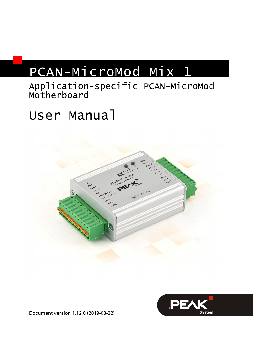# PCAN-MicroMod Mix 1

## Application-specific PCAN-MicroMod Motherboard

# User Manual





Document version 1.12.0 (2019-03-22)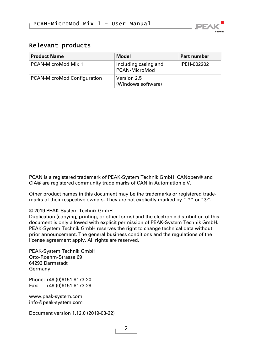

#### Relevant products

| <b>Product Name</b>         | Model                                 | <b>Part number</b> |
|-----------------------------|---------------------------------------|--------------------|
| PCAN-MicroMod Mix 1         | Including casing and<br>PCAN-MicroMod | IPEH-002202        |
| PCAN-MicroMod Configuration | Version 2.5<br>(Windows software)     |                    |

PCAN is a registered trademark of PEAK-System Technik GmbH. CANopen® and CiA® are registered community trade marks of CAN in Automation e.V.

Other product names in this document may be the trademarks or registered trademarks of their respective owners. They are not explicitly marked by "™" or "®".

#### © 2019 PEAK-System Technik GmbH

Duplication (copying, printing, or other forms) and the electronic distribution of this document is only allowed with explicit permission of PEAK-System Technik GmbH. PEAK-System Technik GmbH reserves the right to change technical data without prior announcement. The general business conditions and the regulations of the license agreement apply. All rights are reserved.

PEAK-System Technik GmbH Otto-Roehm-Strasse 69 64293 Darmstadt Germany

Phone: +49 (0)6151 8173-20 Fax: +49 (0)6151 8173-29

[www.peak-system.com](http://www.peak-system.com/)  [info@peak-system.com](mailto:info@peak-system.com)

Document version 1.12.0 (2019-03-22)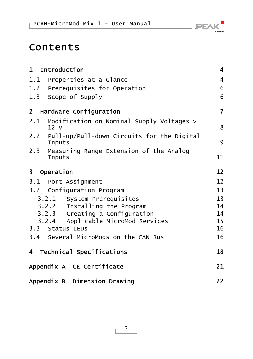## Contents

| 1 Introduction                       |                                                | $\overline{\mathbf{4}}$ |
|--------------------------------------|------------------------------------------------|-------------------------|
|                                      | 1.1 Properties at a Glance                     | 4                       |
|                                      | 1.2 Prerequisites for Operation                | 6                       |
| 1.3 Scope of Supply                  |                                                | 6                       |
| $\mathbf{2}$                         | Hardware Configuration                         | $\overline{7}$          |
| 2.1<br>12 <sub>v</sub>               | Modification on Nominal Supply Voltages >      | 8                       |
| Inputs                               | 2.2 Pull-up/Pull-down Circuits for the Digital | 9                       |
| <b>Inputs</b>                        | 2.3 Measuring Range Extension of the Analog    | 11                      |
| $\overline{\mathbf{3}}$<br>Operation |                                                | 12                      |
| 3.1 Port Assignment                  |                                                | 12                      |
|                                      | 3.2 Configuration Program                      | 13                      |
|                                      | 3.2.1 System Prerequisites                     | 13                      |
|                                      | 3.2.2 Installing the Program                   | 14                      |
|                                      | 3.2.3 Creating a Configuration                 | 14                      |
|                                      | 3.2.4 Applicable MicroMod Services             | 15                      |
| 3.3 Status LEDs                      |                                                | 16                      |
|                                      | 3.4 Several MicroMods on the CAN Bus           | 16                      |
|                                      | 4 Technical Specifications                     | 18                      |
|                                      | Appendix A CE Certificate                      | 21                      |
|                                      | Appendix B Dimension Drawing                   | 22                      |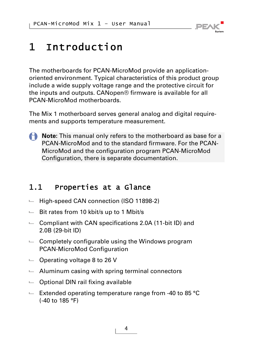

# <span id="page-3-0"></span>1 Introduction

The motherboards for PCAN-MicroMod provide an applicationoriented environment. Typical characteristics of this product group include a wide supply voltage range and the protective circuit for the inputs and outputs. CANopen® firmware is available for all PCAN-MicroMod motherboards.

The Mix 1 motherboard serves general analog and digital requirements and supports temperature measurement.

**Note:** This manual only refers to the motherboard as base for a PCAN-MicroMod and to the standard firmware. For the PCAN-MicroMod and the configuration program PCAN-MicroMod Configuration, there is separate documentation.

## 1.1 Properties at a Glance

- <span id="page-3-1"></span> $-$  High-speed CAN connection (ISO 11898-2)
- $-$  Bit rates from 10 kbit/s up to 1 Mbit/s
- $\blacksquare$  Compliant with CAN specifications 2.0A (11-bit ID) and 2.0B (29-bit ID)
- $\leftarrow$  Completely configurable using the Windows program PCAN-MicroMod Configuration
- $\blacksquare$  Operating voltage 8 to 26 V
- $\blacksquare$  Aluminum casing with spring terminal connectors
- $\Box$  Optional DIN rail fixing available
- $\blacksquare$  Extended operating temperature range from -40 to 85 °C (-40 to 185 °F)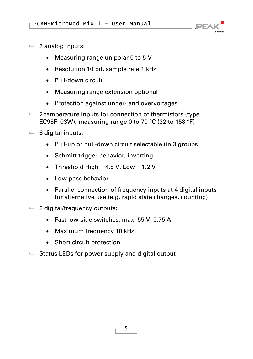

- $-2$  analog inputs:
	- Measuring range unipolar 0 to 5 V
	- Resolution 10 bit, sample rate 1 kHz
	- Pull-down circuit
	- Measuring range extension optional
	- Protection against under- and overvoltages
- $\sim$  2 temperature inputs for connection of thermistors (type EC95F103W), measuring range 0 to 70 °C (32 to 158 °F)
- $-6$  digital inputs:
	- Pull-up or pull-down circuit selectable (in 3 groups)
	- Schmitt trigger behavior, inverting
	- Threshold High =  $4.8$  V, Low =  $1.2$  V
	- Low-pass behavior
	- Parallel connection of frequency inputs at 4 digital inputs for alternative use (e.g. rapid state changes, counting)
- $-$  2 digital/frequency outputs:
	- Fast low-side switches, max. 55 V, 0.75 A
	- Maximum frequency 10 kHz
	- Short circuit protection
- $\blacksquare$  Status LEDs for power supply and digital output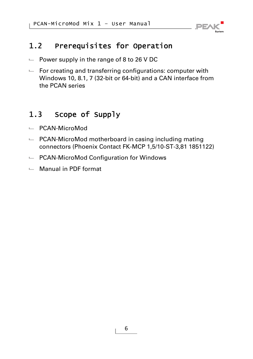

## <span id="page-5-0"></span>1.2 Prerequisites for Operation

- $\blacksquare$  Power supply in the range of 8 to 26 V DC
- $\leftarrow$  For creating and transferring configurations: computer with Windows 10, 8.1, 7 (32-bit or 64-bit) and a CAN interface from the PCAN series

## 1.3 Scope of Supply

- <span id="page-5-1"></span>PCAN-MicroMod
- $\leftarrow$  PCAN-MicroMod motherboard in casing including mating connectors (Phoenix Contact FK-MCP 1,5/10-ST-3,81 1851122)
- ← PCAN-MicroMod Configuration for Windows
- Manual in PDF format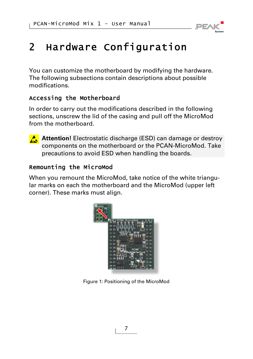

# <span id="page-6-0"></span>2 Hardware Configuration

You can customize the motherboard by modifying the hardware. The following subsections contain descriptions about possible modifications.

### Accessing the Motherboard

In order to carry out the modifications described in the following sections, unscrew the lid of the casing and pull off the MicroMod from the motherboard.



**Attention!** Electrostatic discharge (ESD) can damage or destroy components on the motherboard or the PCAN-MicroMod. Take precautions to avoid ESD when handling the boards.

### Remounting the MicroMod

When you remount the MicroMod, take notice of the white triangular marks on each the motherboard and the MicroMod (upper left corner). These marks must align.



Figure 1: Positioning of the MicroMod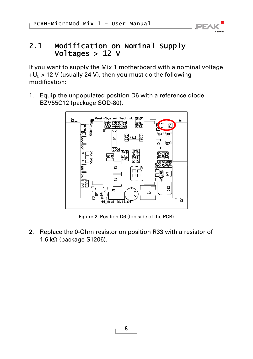

### <span id="page-7-0"></span>2.1 Modification on Nominal Supply Voltages > 12 V

If you want to supply the Mix 1 motherboard with a nominal voltage  $+U_b$  > 12 V (usually 24 V), then you must do the following modification:

1. Equip the unpopulated position D6 with a reference diode BZV55C12 (package SOD-80).



Figure 2: Position D6 (top side of the PCB)

2. Replace the 0-Ohm resistor on position R33 with a resistor of 1.6 k $\Omega$  (package S1206).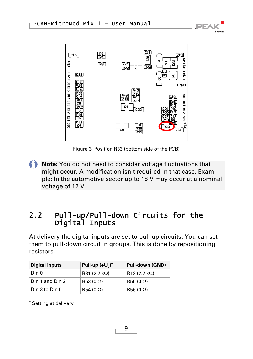



Figure 3: Position R33 (bottom side of the PCB)

**Note:** You do not need to consider voltage fluctuations that might occur. A modification isn't required in that case. Example: In the automotive sector up to 18 V may occur at a nominal voltage of 12 V.

### <span id="page-8-0"></span>2.2 Pull-up/Pull-down Circuits for the Digital Inputs

At delivery the digital inputs are set to pull-up circuits. You can set them to pull-down circuit in groups. This is done by repositioning resistors.

| <b>Digital inputs</b> | Pull-up $(+U_h)^*$    | Pull-down (GND)   |
|-----------------------|-----------------------|-------------------|
| Din 0                 | R31 (2.7 k $\Omega$ ) | $R12$ (2.7 kΩ)    |
| DIn 1 and DIn 2       | R53 (0 $\Omega$ )     | R55 (0 $\Omega$ ) |
| Din 3 to Din 5        | R54 (0 $\Omega$ )     | $R56(0 \Omega)$   |

\* Setting at delivery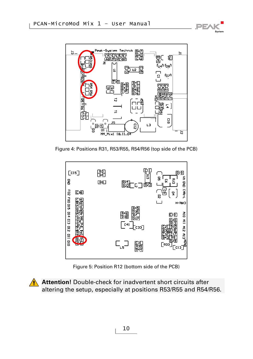



Figure 4: Positions R31, R53/R55, R54/R56 (top side of the PCB)



Figure 5: Position R12 (bottom side of the PCB)

**A** Attention! Double-check for inadvertent short circuits after altering the setup, especially at positions R53/R55 and R54/R56.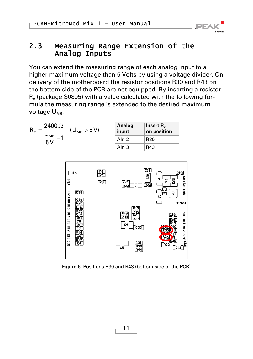

### <span id="page-10-0"></span>2.3 Measuring Range Extension of the Analog Inputs

You can extend the measuring range of each analog input to a higher maximum voltage than 5 Volts by using a voltage divider. On delivery of the motherboard the resistor positions R30 and R43 on the bottom side of the PCB are not equipped. By inserting a resistor  $R_{x}$  (package S0805) with a value calculated with the following formula the measuring range is extended to the desired maximum voltage  $U_{MB}$ .

| $2400\,\Omega$<br>$R_{x}$<br>ບ <sub>MB</sub><br>5 V | $(U_{MB} > 5 V)$ | Analog<br>input  | Insert $R_{r}$<br>on position |
|-----------------------------------------------------|------------------|------------------|-------------------------------|
|                                                     |                  | Aln 2            | R30                           |
|                                                     |                  | Aln <sub>3</sub> | R43                           |



Figure 6: Positions R30 and R43 (bottom side of the PCB)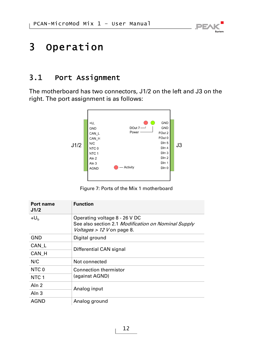# **PEA**

## <span id="page-11-0"></span>3 Operation

## 3.1 Port Assignment

<span id="page-11-1"></span>The motherboard has two connectors, J1/2 on the left and J3 on the right. The port assignment is as follows:



Figure 7: Ports of the Mix 1 motherboard

| Port name<br>J1/2 | <b>Function</b>                                                                                                    |  |
|-------------------|--------------------------------------------------------------------------------------------------------------------|--|
| $+U_h$            | Operating voltage 8 - 26 V DC<br>See also section 2.1 Modification on Nominal Supply<br>Voltages > 12 V on page 8. |  |
| GND               | Digital ground                                                                                                     |  |
| CAN L             | Differential CAN signal                                                                                            |  |
| CAN H             |                                                                                                                    |  |
| N/C               | Not connected                                                                                                      |  |
| NTC 0             | <b>Connection thermistor</b>                                                                                       |  |
| NTC <sub>1</sub>  | (against AGND)                                                                                                     |  |
| Aln <sub>2</sub>  | Analog input                                                                                                       |  |
| Aln $3$           |                                                                                                                    |  |
| <b>AGND</b>       | Analog ground                                                                                                      |  |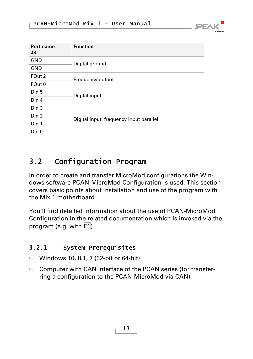| <b>Function</b>                         |               |  |
|-----------------------------------------|---------------|--|
| Digital ground                          |               |  |
|                                         |               |  |
| Frequency output                        |               |  |
|                                         | Digital input |  |
| Digital input, frequency input parallel |               |  |
|                                         |               |  |
|                                         |               |  |

**PEA** 

## 3.2 Configuration Program

<span id="page-12-0"></span>In order to create and transfer MicroMod configurations the Windows software PCAN-MicroMod Configuration is used. This section covers basic points about installation and use of the program with the Mix 1 motherboard.

You'll find detailed information about the use of PCAN-MicroMod Configuration in the related documentation which is invoked via the program (e.g. with F1).

### 3.2.1 System Prerequisites

- <span id="page-12-1"></span> $\blacksquare$  Windows 10, 8.1, 7 (32-bit or 64-bit)
- $\leftarrow$  Computer with CAN interface of the PCAN series (for transferring a configuration to the PCAN-MicroMod via CAN)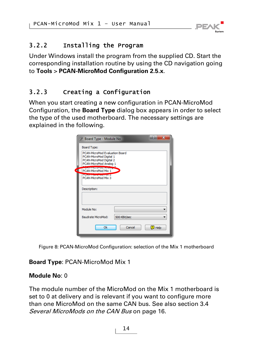

### 3.2.2 Installing the Program

<span id="page-13-0"></span>Under Windows install the program from the supplied CD. Start the corresponding installation routine by using the CD navigation going to **Tools** > **PCAN-MicroMod Configuration 2.5.x**.

### 3.2.3 Creating a Configuration

<span id="page-13-1"></span>When you start creating a new configuration in PCAN-MicroMod Configuration, the **Board Type** dialog box appears in order to select the type of the used motherboard. The necessary settings are explained in the following.

|             | Đ<br>$\overline{\mathbf{x}}$<br>Board Type - Module No                                                         |
|-------------|----------------------------------------------------------------------------------------------------------------|
|             | Board Type:                                                                                                    |
|             | PCAN-MicroMod Evaluation Board<br>PCAN-MicroMod Digital 1<br>PCAN-MicroMod Digital 2<br>PCAN-MicroMod Analog 1 |
| <b>dill</b> | <b>CONTRACTOR OF ALL CALLS</b><br>PCAN-MicroMod Mix 1                                                          |
|             | <b>MARINE MARINE VIOLENCE AND A</b><br>PCAN-MicroMod Mix 3                                                     |
|             | Description:                                                                                                   |
|             | Module No:                                                                                                     |
|             | Baudrate MicroMod:<br>500 KBit/sec                                                                             |
|             | Ok<br><b>7</b> Help<br>Cancel                                                                                  |

Figure 8: PCAN-MicroMod Configuration: selection of the Mix 1 motherboard

#### **Board Type**: PCAN-MicroMod Mix 1

#### **Module No**: 0

The module number of the MicroMod on the Mix 1 motherboard is set to 0 at delivery and is relevant if you want to configure more than one MicroMod on the same CAN bus. See also section [3.4](#page-15-1) [Several MicroMods on the CAN Bus](#page-15-1) [on page 16](#page-15-1).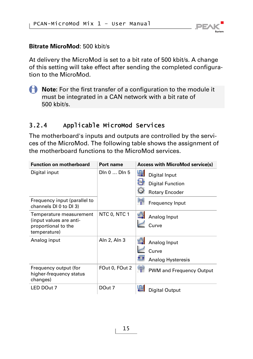

#### **Bitrate MicroMod**: 500 kbit/s

At delivery the MicroMod is set to a bit rate of 500 kbit/s. A change of this setting will take effect after sending the completed configuration to the MicroMod.

**A** Note: For the first transfer of a configuration to the module it must be integrated in a CAN network with a bit rate of 500 kbit/s.

### 3.2.4 Applicable MicroMod Services

<span id="page-14-0"></span>The motherboard's inputs and outputs are controlled by the services of the MicroMod. The following table shows the assignment of the motherboard functions to the MicroMod services.

| <b>Function on motherboard</b>                               | Port name      | <b>Access with MicroMod service(s)</b> |
|--------------------------------------------------------------|----------------|----------------------------------------|
| Digital input                                                | Din 0  Din 5   | 넄<br>Digital Input                     |
|                                                              |                | U<br><b>Digital Function</b>           |
|                                                              |                | G<br><b>Rotary Encoder</b>             |
| Frequency input (parallel to<br>channels DI 0 to DI 3)       |                | $\mathcal{P}_1$<br>Frequency Input     |
| Temperature measurement                                      | NTC 0, NTC 1   | Analog Input                           |
| (input values are anti-<br>proportional to the               |                | Curve                                  |
| temperature)                                                 |                |                                        |
| Analog input                                                 | Aln 2, Aln 3   | Analog Input                           |
|                                                              |                | Curve                                  |
|                                                              |                | Analog Hysteresis                      |
| Frequency output (for<br>higher-frequency status<br>changes) | FOut 0, FOut 2 | ⊗<br>PWM and Frequency Output          |
| LED DOut 7                                                   | DOut 7         | Digital Output                         |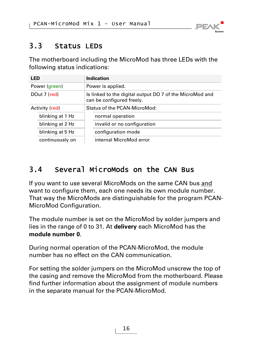

## <span id="page-15-0"></span>3.3 Status LEDs

The motherboard including the MicroMod has three LEDs with the following status indications:

| LED |                  | Indication                                                                            |  |
|-----|------------------|---------------------------------------------------------------------------------------|--|
|     | Power (green)    | Power is applied.                                                                     |  |
|     | DOut 7 (red)     | Is linked to the digital output DO 7 of the MicroMod and<br>can be configured freely. |  |
|     | Activity (red)   | Status of the PCAN-MicroMod:                                                          |  |
|     | blinking at 1 Hz | normal operation                                                                      |  |
|     | blinking at 2 Hz | invalid or no configuration                                                           |  |
|     | blinking at 5 Hz | configuration mode                                                                    |  |
|     | continuously on  | internal MicroMod error                                                               |  |

## <span id="page-15-1"></span>3.4 Several MicroMods on the CAN Bus

If you want to use several MicroMods on the same CAN bus and want to configure them, each one needs its own module number. That way the MicroMods are distinguishable for the program PCAN-MicroMod Configuration.

The module number is set on the MicroMod by solder jumpers and lies in the range of 0 to 31. At **delivery** each MicroMod has the **module number 0**.

During normal operation of the PCAN-MicroMod, the module number has no effect on the CAN communication.

For setting the solder jumpers on the MicroMod unscrew the top of the casing and remove the MicroMod from the motherboard. Please find further information about the assignment of module numbers in the separate manual for the PCAN-MicroMod.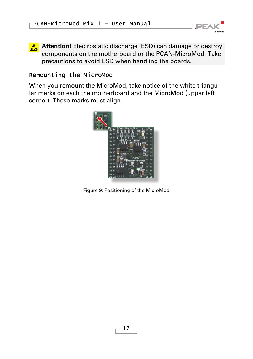

**Attention!** Electrostatic discharge (ESD) can damage or destroy components on the motherboard or the PCAN-MicroMod. Take precautions to avoid ESD when handling the boards.

### Remounting the MicroMod

When you remount the MicroMod, take notice of the white triangular marks on each the motherboard and the MicroMod (upper left corner). These marks must align.



Figure 9: Positioning of the MicroMod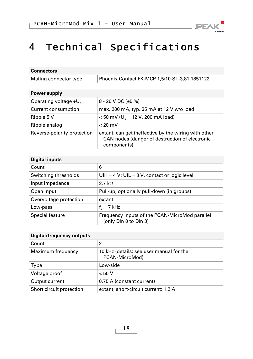

# <span id="page-17-0"></span>4 Technical Specifications

| <b>Connectors</b>           |                                                                                                                       |
|-----------------------------|-----------------------------------------------------------------------------------------------------------------------|
| Mating connector type       | Phoenix Contact FK-MCP 1,5/10-ST-3,81 1851122                                                                         |
| Power supply                |                                                                                                                       |
| Operating voltage $+Ub$     | 8 - 26 V DC (±5 %)                                                                                                    |
| Current consumption         | max. 200 mA, typ. 35 mA at 12 V w/o load                                                                              |
| Ripple 5 V                  | $<$ 50 mV (U <sub>b</sub> = 12 V, 200 mA load)                                                                        |
| Ripple analog               | $< 20$ mV                                                                                                             |
| Reverse-polarity protection | extant; can get ineffective by the wiring with other<br>CAN nodes (danger of destruction of electronic<br>components) |
| <b>Digital inputs</b>       |                                                                                                                       |
| Count                       | 6                                                                                                                     |
| Switching thresholds        | UIH = $4 V$ ; UIL = $3 V$ , contact or logic level                                                                    |
| Input impedance             | 2.7 k $\Omega$                                                                                                        |
| Open input                  | Pull-up, optionally pull-down (in groups)                                                                             |
| Overvoltage protection      | extant                                                                                                                |

| Low-pass        | $ f_{0}=7$ kHz                                                          |
|-----------------|-------------------------------------------------------------------------|
| Special feature | Frequency inputs of the PCAN-MicroMod parallel<br>(only Dln 0 to Dln 3) |

#### **Digital/frequency outputs**

| Count                    |                                                            |
|--------------------------|------------------------------------------------------------|
| Maximum frequency        | 10 kHz (details: see user manual for the<br>PCAN-MicroMod) |
| Type                     | Low-side                                                   |
| Voltage proof            | < 55 V                                                     |
| Output current           | 0.75 A (constant current)                                  |
| Short circuit protection | extant; short-circuit current: 1.2 A                       |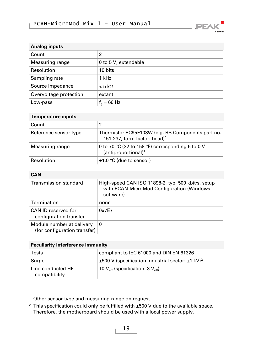

| Analog inputs          |                       |
|------------------------|-----------------------|
| Count                  | 2                     |
| Measuring range        | 0 to 5 V, extendable  |
| Resolution             | 10 bits               |
| Sampling rate          | 1 kHz                 |
| Source impedance       | $< 5 \text{ k}\Omega$ |
| Overvoltage protection | extant                |
| Low-pass               | $f_0 = 66$ Hz         |

#### **Temperature inputs**

<span id="page-18-1"></span>

| Count                 |                                                                                               |
|-----------------------|-----------------------------------------------------------------------------------------------|
| Reference sensor type | Thermistor EC95F103W (e.g. RS Components part no.<br>151-237, form factor: bead) <sup>1</sup> |
| Measuring range       | 0 to 70 °C (32 to 158 °F) corresponding 5 to 0 V<br>(antiproportional) <sup>1</sup>           |
| Resolution            | $±1.0$ °C (due to sensor)                                                                     |

#### **CAN**

| Transmission standard                                     | High-speed CAN ISO 11898-2, typ. 500 kbit/s, setup<br>with PCAN-MicroMod Configuration (Windows<br>software) |  |
|-----------------------------------------------------------|--------------------------------------------------------------------------------------------------------------|--|
| Termination                                               | none                                                                                                         |  |
| CAN ID reserved for<br>configuration transfer             | 0x7F7                                                                                                        |  |
| Module number at delivery<br>(for configuration transfer) | 0                                                                                                            |  |

#### **Peculiarity Interference Immunity**

| Tests                              | compliant to IEC 61000 and DIN EN 61326                                |
|------------------------------------|------------------------------------------------------------------------|
| Surge                              | $\pm$ 500 V (specification industrial sector: $\pm$ 1 kV) <sup>2</sup> |
| Line-conducted HF<br>compatibility | 10 $\mathsf{V}_{\sf eff}$ (specification: 3 $\mathsf{V}_{\sf eff}$ )   |

<span id="page-18-0"></span><sup>1</sup> Other sensor type and measuring range on request

<span id="page-18-2"></span><sup>2</sup> This specification could only be fulfilled with  $\pm 500$  V due to the available space. Therefore, the motherboard should be used with a local power supply.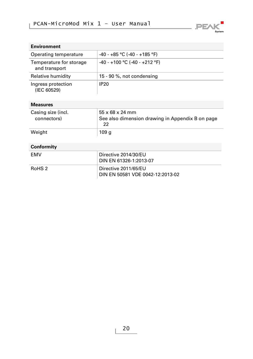

| <b>Environment</b>                       |                                 |
|------------------------------------------|---------------------------------|
| Operating temperature                    | $-40 - +85$ °C (-40 - +185 °F)  |
| Temperature for storage<br>and transport | $-40 - +100$ °C (-40 - +212 °F) |
| Relative humidity                        | 15 - 90 %, not condensing       |
| Ingress protection<br>(IEC 60529)        | <b>IP20</b>                     |

#### **Measures**

| Casing size (incl.<br>connectors) | $55 \times 68 \times 24$ mm<br>See also dimension drawing in Appendix B on page<br>22 |
|-----------------------------------|---------------------------------------------------------------------------------------|
| Weight                            | 109 g                                                                                 |

#### **Conformity**

| FMV    | Directive 2014/30/EU<br>DIN EN 61326-1:2013-07           |
|--------|----------------------------------------------------------|
| RoHS 2 | Directive 2011/65/EU<br>DIN EN 50581 VDE 0042-12:2013-02 |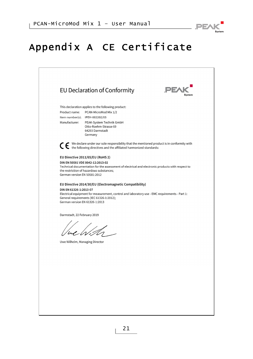

# <span id="page-20-0"></span>Appendix A CE Certificate

|                              | EU Declaration of Conformity                                                                                                                                    | PEA |
|------------------------------|-----------------------------------------------------------------------------------------------------------------------------------------------------------------|-----|
|                              | This declaration applies to the following product:                                                                                                              |     |
| Product name:                | PCAN-MicroMod Mix 1/2<br>Item number(s): IPEH-002202/03                                                                                                         |     |
| Manufacturer:                | PEAK-System Technik GmbH                                                                                                                                        |     |
|                              | Otto-Roehm-Strasse 69<br>64293 Darmstadt                                                                                                                        |     |
|                              | Germany                                                                                                                                                         |     |
|                              | ◯ ← We declare under our sole responsibility that the mentioned product is in conformity with the following directives and the affiliated harmonized standards: |     |
|                              | EU Directive 2011/65/EU (RoHS 2)                                                                                                                                |     |
|                              | DIN EN 50581 VDE 0042-12:2013-02                                                                                                                                |     |
|                              | Technical documentation for the assessment of electrical and electronic products with respect to<br>the restriction of hazardous substances;                    |     |
| German version EN 50581:2012 |                                                                                                                                                                 |     |
|                              | EU Directive 2014/30/EU (Electromagnetic Compatibility)                                                                                                         |     |
| DIN EN 61326-1:2013-07       | Electrical equipment for measurement, control and laboratory use - EMC requirements - Part 1:                                                                   |     |
|                              | General requirements (IEC 61326-1:2012);                                                                                                                        |     |
|                              | German version EN 61326-1:2013                                                                                                                                  |     |
| Darmstadt, 22 February 2019  |                                                                                                                                                                 |     |
|                              |                                                                                                                                                                 |     |
|                              |                                                                                                                                                                 |     |
|                              |                                                                                                                                                                 |     |
|                              | Uwe Wilhelm, Managing Director                                                                                                                                  |     |
|                              |                                                                                                                                                                 |     |
|                              |                                                                                                                                                                 |     |
|                              |                                                                                                                                                                 |     |
|                              |                                                                                                                                                                 |     |
|                              |                                                                                                                                                                 |     |
|                              |                                                                                                                                                                 |     |